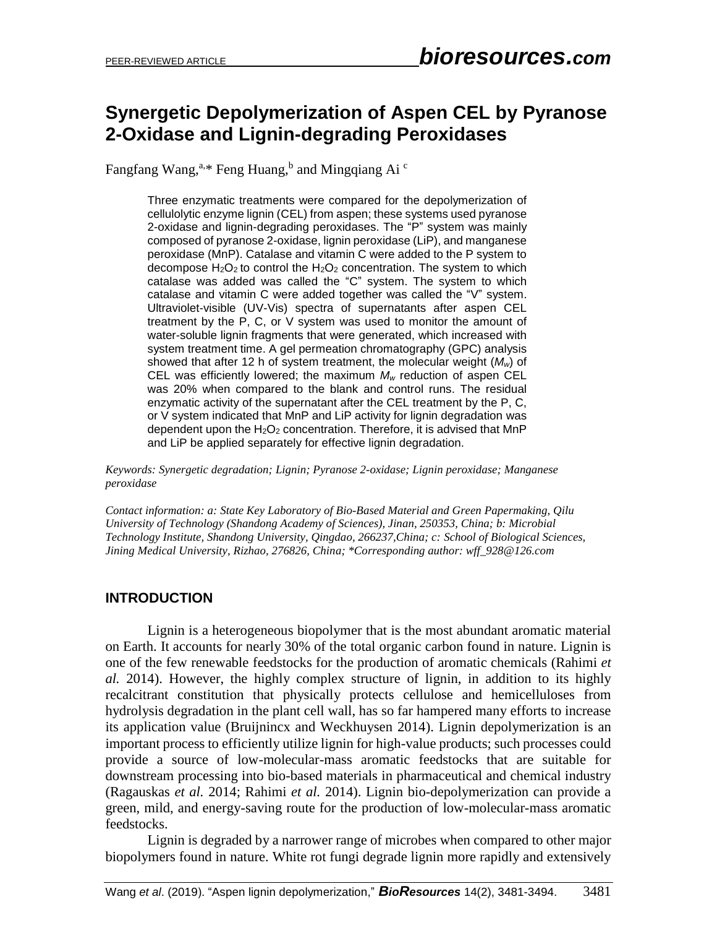# **Synergetic Depolymerization of Aspen CEL by Pyranose 2-Oxidase and Lignin-degrading Peroxidases**

Fangfang Wang,<sup>a,\*</sup> Feng Huang,<sup>b</sup> and Mingqiang Ai <sup>c</sup>

Three enzymatic treatments were compared for the depolymerization of cellulolytic enzyme lignin (CEL) from aspen; these systems used pyranose 2-oxidase and lignin-degrading peroxidases. The "P" system was mainly composed of pyranose 2-oxidase, lignin peroxidase (LiP), and manganese peroxidase (MnP). Catalase and vitamin C were added to the P system to decompose  $H_2O_2$  to control the  $H_2O_2$  concentration. The system to which catalase was added was called the "C" system. The system to which catalase and vitamin C were added together was called the "V" system. Ultraviolet-visible (UV-Vis) spectra of supernatants after aspen CEL treatment by the P, C, or V system was used to monitor the amount of water-soluble lignin fragments that were generated, which increased with system treatment time. A gel permeation chromatography (GPC) analysis showed that after 12 h of system treatment, the molecular weight (*Mw*) of CEL was efficiently lowered; the maximum *M<sup>w</sup>* reduction of aspen CEL was 20% when compared to the blank and control runs. The residual enzymatic activity of the supernatant after the CEL treatment by the P, C, or V system indicated that MnP and LiP activity for lignin degradation was dependent upon the  $H_2O_2$  concentration. Therefore, it is advised that MnP and LiP be applied separately for effective lignin degradation.

*Keywords: Synergetic degradation; Lignin; Pyranose 2-oxidase; Lignin peroxidase; Manganese peroxidase*

*Contact information: a: State Key Laboratory of Bio-Based Material and Green Papermaking, Qilu University of Technology (Shandong Academy of Sciences), Jinan, 250353, China; b: Microbial Technology Institute, Shandong University, Qingdao, 266237,China; c: School of Biological Sciences, Jining Medical University, Rizhao, 276826, China; \*Corresponding author: wff\_928@126.com*

# **INTRODUCTION**

Lignin is a heterogeneous biopolymer that is the most abundant aromatic material on Earth. It accounts for nearly 30% of the total organic carbon found in nature. Lignin is one of the few renewable feedstocks for the production of aromatic chemicals [\(Rahimi](#page-12-0) *et al.* [2014\)](#page-12-0). However, the highly complex structure of lignin, in addition to its highly recalcitrant constitution that physically protects cellulose and hemicelluloses from hydrolysis degradation in the plant cell wall, has so far hampered many efforts to increase its application value [\(Bruijnincx and Weckhuysen 2014\)](#page-11-0). Lignin depolymerization is an important process to efficiently utilize lignin for high-value products; such processes could provide a source of low-molecular-mass aromatic feedstocks that are suitable for downstream processing into bio-based materials in pharmaceutical and chemical industry [\(Ragauskas](#page-12-1) *et al.* 2014; [Rahimi](#page-12-0) *et al.* 2014). Lignin bio-depolymerization can provide a green, mild, and energy-saving route for the production of low-molecular-mass aromatic feedstocks.

Lignin is degraded by a narrower range of microbes when compared to other major biopolymers found in nature. White rot fungi degrade lignin more rapidly and extensively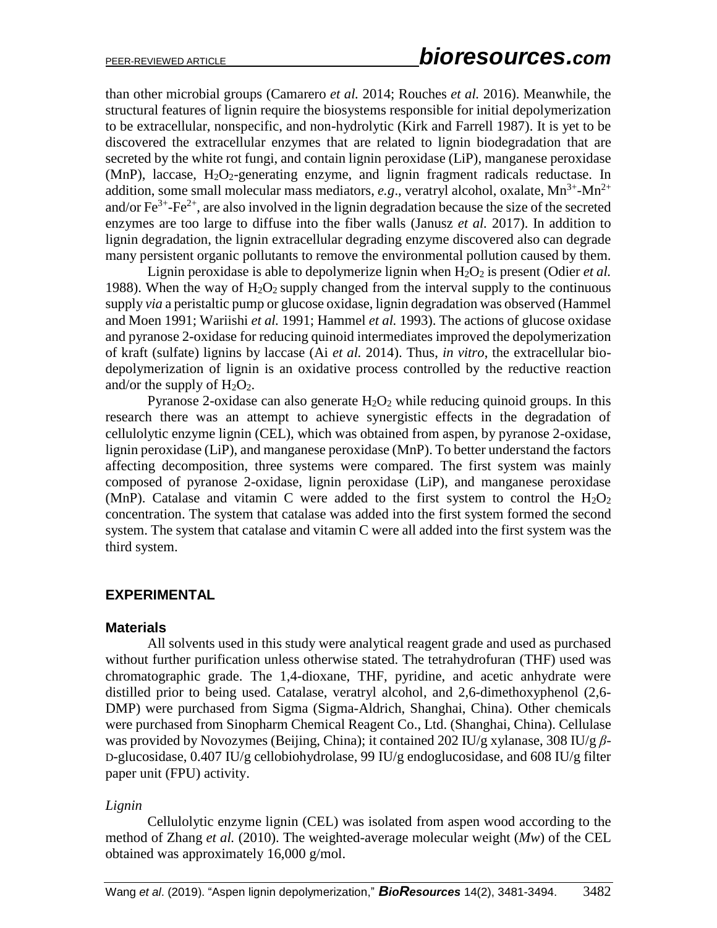than other microbial groups [\(Camarero](#page-11-1) *et al.* 2014; [Rouches](#page-12-2) *et al.* 2016). Meanwhile, the structural features of lignin require the biosystems responsible for initial depolymerization to be extracellular, nonspecific, and non-hydrolytic (Kirk and Farrell 1987). It is yet to be discovered the extracellular enzymes that are related to lignin biodegradation that are secreted by the white rot fungi, and contain lignin peroxidase (LiP), manganese peroxidase  $(MnP)$ , laccase,  $H_2O_2$ -generating enzyme, and lignin fragment radicals reductase. In addition, some small molecular mass mediators,  $e.g.,$  veratryl alcohol, oxalate,  $Mn^{3+}$ - $Mn^{2+}$ and/or  $\text{Fe}^{3+}$ - $\text{Fe}^{2+}$ , are also involved in the lignin degradation because the size of the secreted enzymes are too large to diffuse into the fiber walls (Janusz *et al.* 2017). In addition to lignin degradation, the lignin extracellular degrading enzyme discovered also can degrade many persistent organic pollutants to remove the environmental pollution caused by them.

Lignin peroxidase is able to depolymerize lignin when  $H_2O_2$  is present [\(Odier](#page-12-3) *et al.*) [1988\)](#page-12-3). When the way of  $H_2O_2$  supply changed from the interval supply to the continuous supply *via* a peristaltic pump or glucose oxidase, lignin degradation was observed [\(Hammel](#page-11-2)  [and Moen 1991;](#page-11-2) [Wariishi](#page-13-0) *et al.* 1991; [Hammel](#page-11-3) *et al.* 1993). The actions of glucose oxidase and pyranose 2-oxidase for reducing quinoid intermediates improved the depolymerization of kraft (sulfate) lignins by laccase (Ai *et al.* [2014\)](#page-11-4). Thus, *in vitro*, the extracellular biodepolymerization of lignin is an oxidative process controlled by the reductive reaction and/or the supply of  $H_2O_2$ .

Pyranose 2-oxidase can also generate  $H_2O_2$  while reducing quinoid groups. In this research there was an attempt to achieve synergistic effects in the degradation of cellulolytic enzyme lignin (CEL), which was obtained from aspen, by pyranose 2-oxidase, lignin peroxidase (LiP), and manganese peroxidase (MnP). To better understand the factors affecting decomposition, three systems were compared. The first system was mainly composed of pyranose 2-oxidase, lignin peroxidase (LiP), and manganese peroxidase (MnP). Catalase and vitamin C were added to the first system to control the  $H_2O_2$ concentration. The system that catalase was added into the first system formed the second system. The system that catalase and vitamin C were all added into the first system was the third system.

# **EXPERIMENTAL**

# **Materials**

All solvents used in this study were analytical reagent grade and used as purchased without further purification unless otherwise stated. The tetrahydrofuran (THF) used was chromatographic grade. The 1,4-dioxane, THF, pyridine, and acetic anhydrate were distilled prior to being used. Catalase, veratryl alcohol, and 2,6-dimethoxyphenol (2,6- DMP) were purchased from Sigma (Sigma-Aldrich, Shanghai, China). Other chemicals were purchased from Sinopharm Chemical Reagent Co., Ltd. (Shanghai, China). Cellulase was provided by Novozymes (Beijing, China); it contained 202 IU/g xylanase, 308 IU/g *β*-D-glucosidase, 0.407 IU/g cellobiohydrolase, 99 IU/g endoglucosidase, and 608 IU/g filter paper unit (FPU) activity.

# *Lignin*

Cellulolytic enzyme lignin (CEL) was isolated from aspen wood according to the method of [Zhang](#page-13-1) *et al.* (2010). The weighted-average molecular weight (*Mw*) of the CEL obtained was approximately 16,000 g/mol.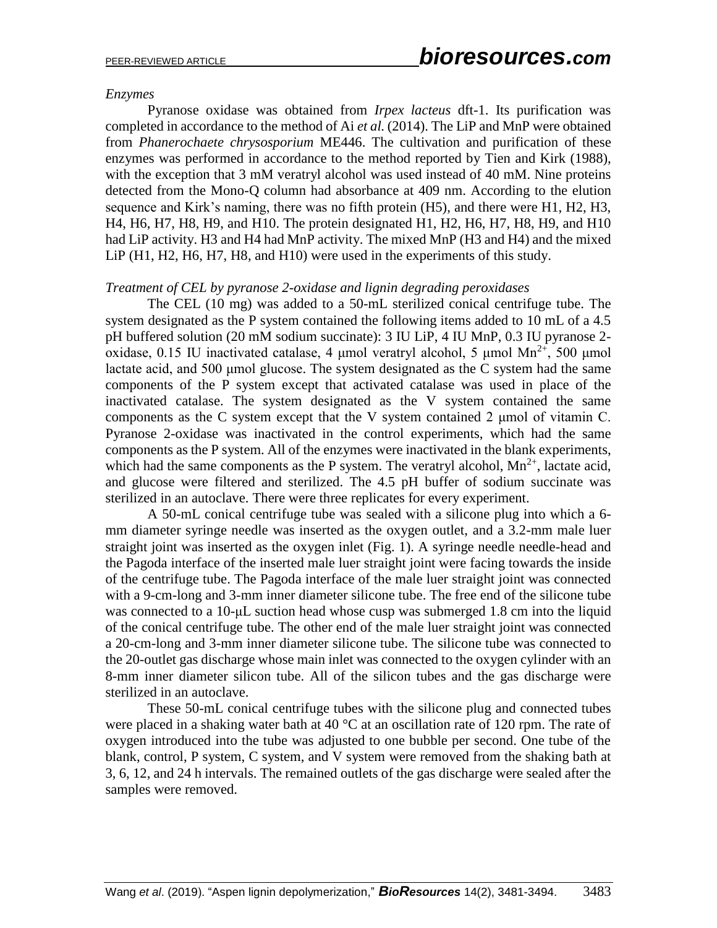# *Enzymes*

Pyranose oxidase was obtained from *Irpex lacteus* dft-1. Its purification was completed in accordance to the method of Ai *et al.* [\(2014\)](#page-11-4). The LiP and MnP were obtained from *Phanerochaete chrysosporium* ME446. The cultivation and purification of these enzymes was performed in accordance to the method reported by [Tien and Kirk \(1988\)](#page-13-2), with the exception that 3 mM veratryl alcohol was used instead of 40 mM. Nine proteins detected from the Mono-Q column had absorbance at 409 nm. According to the elution sequence and Kirk's naming, there was no fifth protein (H5), and there were H1, H2, H3, H4, H6, H7, H8, H9, and H10. The protein designated H1, H2, H6, H7, H8, H9, and H10 had LiP activity. H3 and H4 had MnP activity. The mixed MnP (H3 and H4) and the mixed LiP (H1, H2, H6, H7, H8, and H10) were used in the experiments of this study.

# *Treatment of CEL by pyranose 2-oxidase and lignin degrading peroxidases*

The CEL (10 mg) was added to a 50-mL sterilized conical centrifuge tube. The system designated as the P system contained the following items added to 10 mL of a 4.5 pH buffered solution (20 mM sodium succinate): 3 IU LiP, 4 IU MnP, 0.3 IU pyranose 2 oxidase, 0.15 IU inactivated catalase, 4 μmol veratryl alcohol, 5 μmol Mn<sup>2+</sup>, 500 μmol lactate acid, and 500 μmol glucose. The system designated as the C system had the same components of the P system except that activated catalase was used in place of the inactivated catalase. The system designated as the V system contained the same components as the C system except that the V system contained 2 μmol of vitamin C. Pyranose 2-oxidase was inactivated in the control experiments, which had the same components as the P system. All of the enzymes were inactivated in the blank experiments, which had the same components as the P system. The veratryl alcohol,  $Mn^{2+}$ , lactate acid, and glucose were filtered and sterilized. The 4.5 pH buffer of sodium succinate was sterilized in an autoclave. There were three replicates for every experiment.

A 50-mL conical centrifuge tube was sealed with a silicone plug into which a 6 mm diameter syringe needle was inserted as the oxygen outlet, and a 3.2-mm male luer straight joint was inserted as the oxygen inlet (Fig. 1). A syringe needle needle-head and the Pagoda interface of the inserted male luer straight joint were facing towards the inside of the centrifuge tube. The Pagoda interface of the male luer straight joint was connected with a 9-cm-long and 3-mm inner diameter silicone tube. The free end of the silicone tube was connected to a 10-μL suction head whose cusp was submerged 1.8 cm into the liquid of the conical centrifuge tube. The other end of the male luer straight joint was connected a 20-cm-long and 3-mm inner diameter silicone tube. The silicone tube was connected to the 20-outlet gas discharge whose main inlet was connected to the oxygen cylinder with an 8-mm inner diameter silicon tube. All of the silicon tubes and the gas discharge were sterilized in an autoclave.

These 50-mL conical centrifuge tubes with the silicone plug and connected tubes were placed in a shaking water bath at 40  $^{\circ}$ C at an oscillation rate of 120 rpm. The rate of oxygen introduced into the tube was adjusted to one bubble per second. One tube of the blank, control, P system, C system, and V system were removed from the shaking bath at 3, 6, 12, and 24 h intervals. The remained outlets of the gas discharge were sealed after the samples were removed.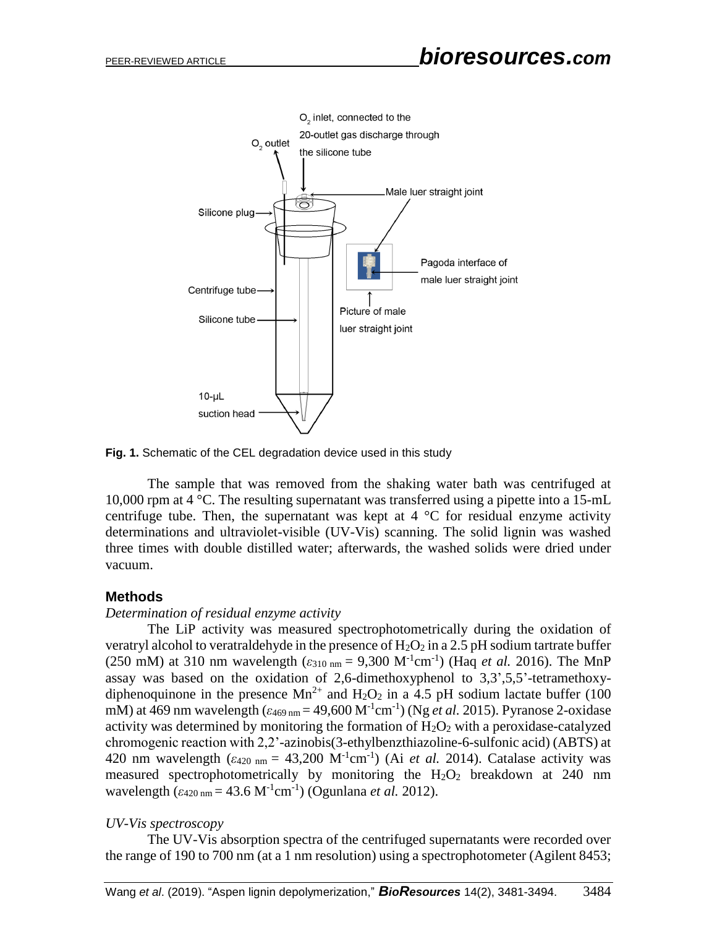

**Fig. 1.** Schematic of the CEL degradation device used in this study

The sample that was removed from the shaking water bath was centrifuged at 10,000 rpm at 4 °C. The resulting supernatant was transferred using a pipette into a 15-mL centrifuge tube. Then, the supernatant was kept at  $4 \degree C$  for residual enzyme activity determinations and ultraviolet-visible (UV-Vis) scanning. The solid lignin was washed three times with double distilled water; afterwards, the washed solids were dried under vacuum.

# **Methods**

#### *Determination of residual enzyme activity*

The LiP activity was measured spectrophotometrically during the oxidation of veratryl alcohol to veratraldehyde in the presence of  $H_2O_2$  in a 2.5 pH sodium tartrate buffer (250 mM) at 310 nm wavelength ( $\varepsilon_{310 \text{ nm}} = 9,300 \text{ M}^{-1} \text{cm}^{-1}$ ) (Haq *et al.* [2016\)](#page-11-5). The MnP assay was based on the oxidation of 2,6-dimethoxyphenol to 3,3',5,5'-tetramethoxydiphenoquinone in the presence  $Mn^{2+}$  and  $H_2O_2$  in a 4.5 pH sodium lactate buffer (100 mM) at 469 nm wavelength (*ε*<sub>469 nm</sub> = 49,600 M<sup>-1</sup>cm<sup>-1</sup>) (Ng *et al.* [2015\)](#page-12-4). Pyranose 2-oxidase activity was determined by monitoring the formation of  $H_2O_2$  with a peroxidase-catalyzed chromogenic reaction with 2,2'-azinobis(3-ethylbenzthiazoline-6-sulfonic acid) (ABTS) at 420 nm wavelength  $(\epsilon_{420 \text{ nm}} = 43,200 \text{ M}^{-1} \text{cm}^{-1})$  (Ai *et al.* [2014\)](#page-11-4). Catalase activity was measured spectrophotometrically by monitoring the  $H_2O_2$  breakdown at 240 nm wavelength  $(\varepsilon_{420 \text{ nm}} = 43.6 \text{ M}^{-1} \text{cm}^{-1})$  [\(Ogunlana](#page-12-5) *et al.* 2012).

#### *UV-Vis spectroscopy*

The UV-Vis absorption spectra of the centrifuged supernatants were recorded over the range of 190 to 700 nm (at a 1 nm resolution) using a spectrophotometer (Agilent 8453;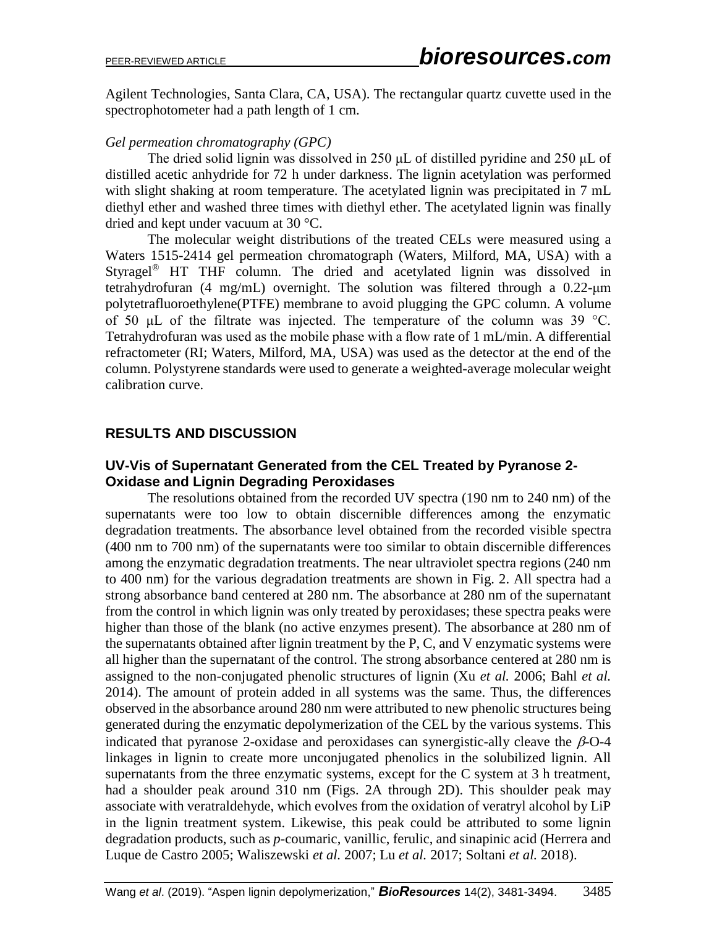Agilent Technologies, Santa Clara, CA, USA). The rectangular quartz cuvette used in the spectrophotometer had a path length of 1 cm.

# *Gel permeation chromatography (GPC)*

The dried solid lignin was dissolved in 250 μL of distilled pyridine and 250 μL of distilled acetic anhydride for 72 h under darkness. The lignin acetylation was performed with slight shaking at room temperature. The acetylated lignin was precipitated in 7 mL diethyl ether and washed three times with diethyl ether. The acetylated lignin was finally dried and kept under vacuum at 30 °C.

The molecular weight distributions of the treated CELs were measured using a Waters 1515-2414 gel permeation chromatograph (Waters, Milford, MA, USA) with a Styragel® HT THF column. The dried and acetylated lignin was dissolved in tetrahydrofuran (4 mg/mL) overnight. The solution was filtered through a 0.22-μm polytetrafluoroethylene(PTFE) membrane to avoid plugging the GPC column. A volume of 50 μL of the filtrate was injected. The temperature of the column was 39 °C. Tetrahydrofuran was used as the mobile phase with a flow rate of 1 mL/min. A differential refractometer (RI; Waters, Milford, MA, USA) was used as the detector at the end of the column. Polystyrene standards were used to generate a weighted-average molecular weight calibration curve.

# **RESULTS AND DISCUSSION**

# **UV-Vis of Supernatant Generated from the CEL Treated by Pyranose 2- Oxidase and Lignin Degrading Peroxidases**

The resolutions obtained from the recorded UV spectra (190 nm to 240 nm) of the supernatants were too low to obtain discernible differences among the enzymatic degradation treatments. The absorbance level obtained from the recorded visible spectra (400 nm to 700 nm) of the supernatants were too similar to obtain discernible differences among the enzymatic degradation treatments. The near ultraviolet spectra regions (240 nm to 400 nm) for the various degradation treatments are shown in Fig. 2. All spectra had a strong absorbance band centered at 280 nm. The absorbance at 280 nm of the supernatant from the control in which lignin was only treated by peroxidases; these spectra peaks were higher than those of the blank (no active enzymes present). The absorbance at 280 nm of the supernatants obtained after lignin treatment by the P, C, and V enzymatic systems were all higher than the supernatant of the control. The strong absorbance centered at 280 nm is assigned to the non-conjugated phenolic structures of lignin (Xu *et al.* [2006;](#page-13-3) [Bahl](#page-11-6) *et al.* [2014\)](#page-11-6). The amount of protein added in all systems was the same. Thus, the differences observed in the absorbance around 280 nm were attributed to new phenolic structures being generated during the enzymatic depolymerization of the CEL by the various systems. This indicated that pyranose 2-oxidase and peroxidases can synergistic-ally cleave the  $\beta$ -O-4 linkages in lignin to create more unconjugated phenolics in the solubilized lignin. All supernatants from the three enzymatic systems, except for the C system at 3 h treatment, had a shoulder peak around 310 nm (Figs. 2A through 2D). This shoulder peak may associate with veratraldehyde, which evolves from the oxidation of veratryl alcohol by LiP in the lignin treatment system. Likewise, this peak could be attributed to some lignin degradation products, such as *p*-coumaric, vanillic, ferulic, and sinapinic acid [\(Herrera and](#page-12-6)  [Luque de Castro 2005;](#page-12-6) [Waliszewski](#page-13-4) *et al.* 2007; Lu *et al.* [2017;](#page-12-7) [Soltani](#page-12-8) *et al.* 2018).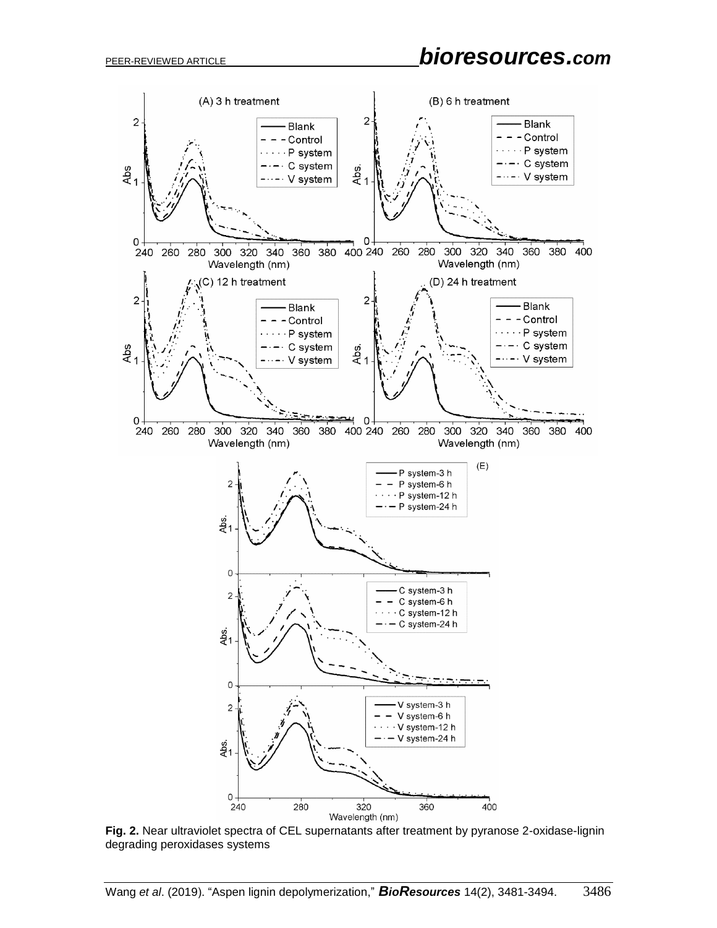<span id="page-5-0"></span>

**Fig. 2.** Near ultraviolet spectra of CEL supernatants after treatment by pyranose 2-oxidase-lignin degrading peroxidases systems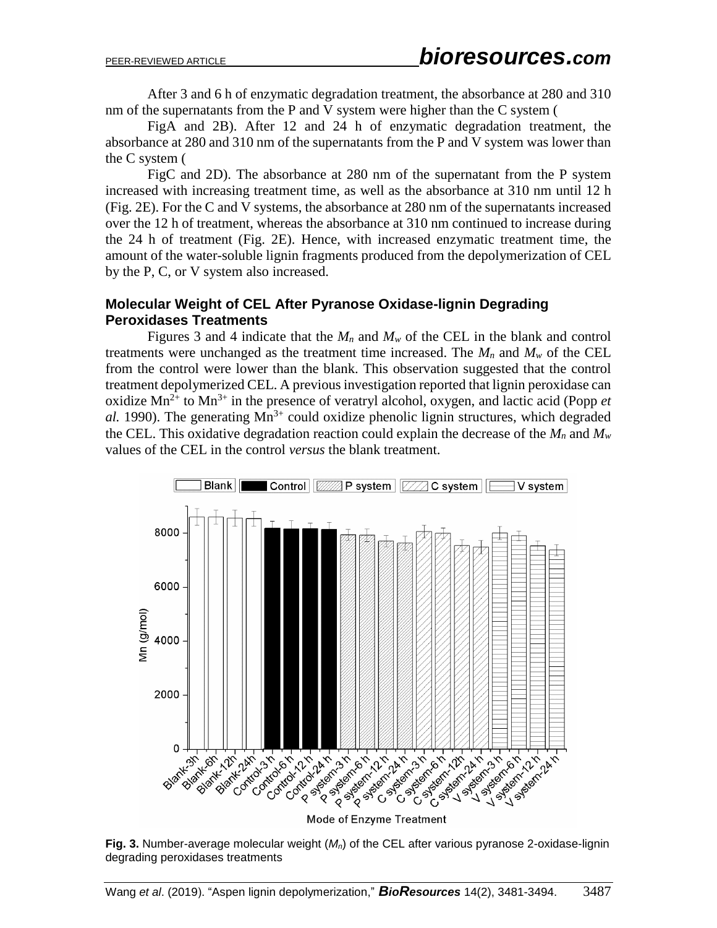After 3 and 6 h of enzymatic degradation treatment, the absorbance at 280 and 310 nm of the supernatants from the P and V system were higher than the C system [\(](#page-5-0)

[FigA](#page-5-0) and 2B). After 12 and 24 h of enzymatic degradation treatment, the absorbance at 280 and 310 nm of the supernatants from the P and V system was lower than the C system [\(](#page-5-0)

[FigC](#page-5-0) and 2D). The absorbance at 280 nm of the supernatant from the P system increased with increasing treatment time, as well as the absorbance at 310 nm until 12 h (Fig. 2E). For the C and V systems, the absorbance at 280 nm of the supernatants increased over the 12 h of treatment, whereas the absorbance at 310 nm continued to increase during the 24 h of treatment (Fig. 2E). Hence, with increased enzymatic treatment time, the amount of the water-soluble lignin fragments produced from the depolymerization of CEL by the P, C, or V system also increased.

# **Molecular Weight of CEL After Pyranose Oxidase-lignin Degrading Peroxidases Treatments**

Figures 3 and 4 indicate that the  $M_n$  and  $M_w$  of the CEL in the blank and control treatments were unchanged as the treatment time increased. The  $M_n$  and  $M_w$  of the CEL from the control were lower than the blank. This observation suggested that the control treatment depolymerized CEL. A previous investigation reported that lignin peroxidase can oxidize  $Mn^{2+}$  to  $Mn^{3+}$  in the presence of veratryl alcohol, oxygen, and lactic acid [\(Popp](#page-12-9) *et*  $al.$  [1990\)](#page-12-9). The generating  $Mn^{3+}$  could oxidize phenolic lignin structures, which degraded the CEL. This oxidative degradation reaction could explain the decrease of the  $M_n$  and  $M_w$ values of the CEL in the control *versus* the blank treatment.



Mode of Enzyme Treatment

**Fig. 3.** Number-average molecular weight (*Mn*) of the CEL after various pyranose 2-oxidase-lignin degrading peroxidases treatments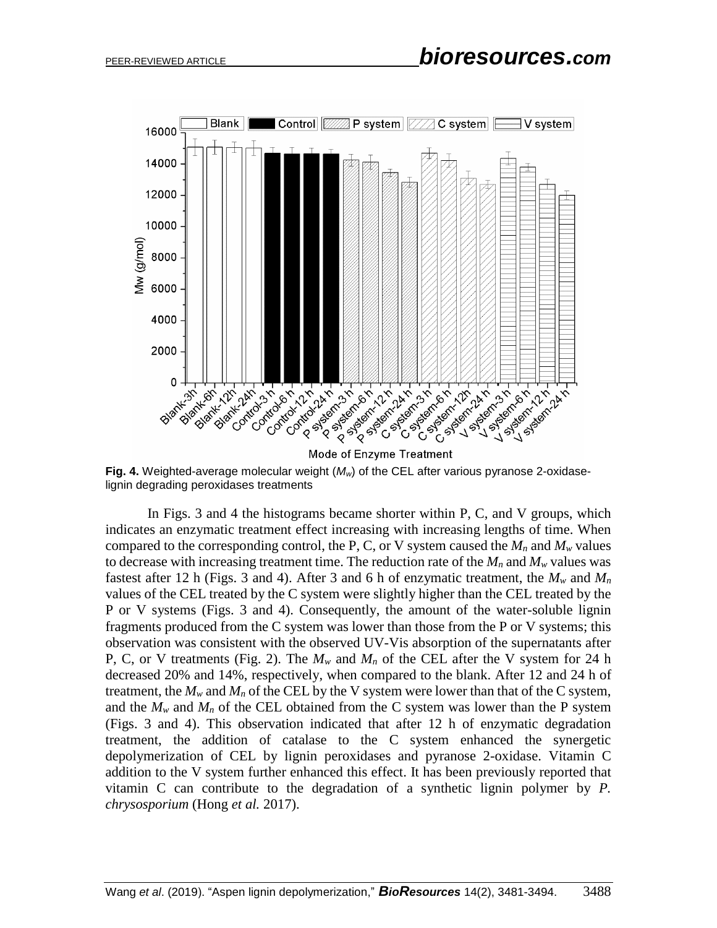

**Fig. 4.** Weighted-average molecular weight (*Mw*) of the CEL after various pyranose 2-oxidaselignin degrading peroxidases treatments

In Figs. 3 and 4 the histograms became shorter within P, C, and V groups, which indicates an enzymatic treatment effect increasing with increasing lengths of time. When compared to the corresponding control, the P, C, or V system caused the  $M_n$  and  $M_w$  values to decrease with increasing treatment time. The reduction rate of the  $M_n$  and  $M_w$  values was fastest after 12 h (Figs. 3 and 4). After 3 and 6 h of enzymatic treatment, the  $M_w$  and  $M_n$ values of the CEL treated by the C system were slightly higher than the CEL treated by the P or V systems (Figs. 3 and 4). Consequently, the amount of the water-soluble lignin fragments produced from the C system was lower than those from the P or V systems; this observation was consistent with the observed UV-Vis absorption of the supernatants after P, C, or V treatments (Fig. 2). The  $M_w$  and  $M_n$  of the CEL after the V system for 24 h decreased 20% and 14%, respectively, when compared to the blank. After 12 and 24 h of treatment, the  $M_w$  and  $M_n$  of the CEL by the V system were lower than that of the C system, and the  $M_w$  and  $M_n$  of the CEL obtained from the C system was lower than the P system (Figs. 3 and 4). This observation indicated that after 12 h of enzymatic degradation treatment, the addition of catalase to the C system enhanced the synergetic depolymerization of CEL by lignin peroxidases and pyranose 2-oxidase. Vitamin C addition to the V system further enhanced this effect. It has been previously reported that vitamin C can contribute to the degradation of a synthetic lignin polymer by *P. chrysosporium* [\(Hong](#page-12-10) *et al.* 2017).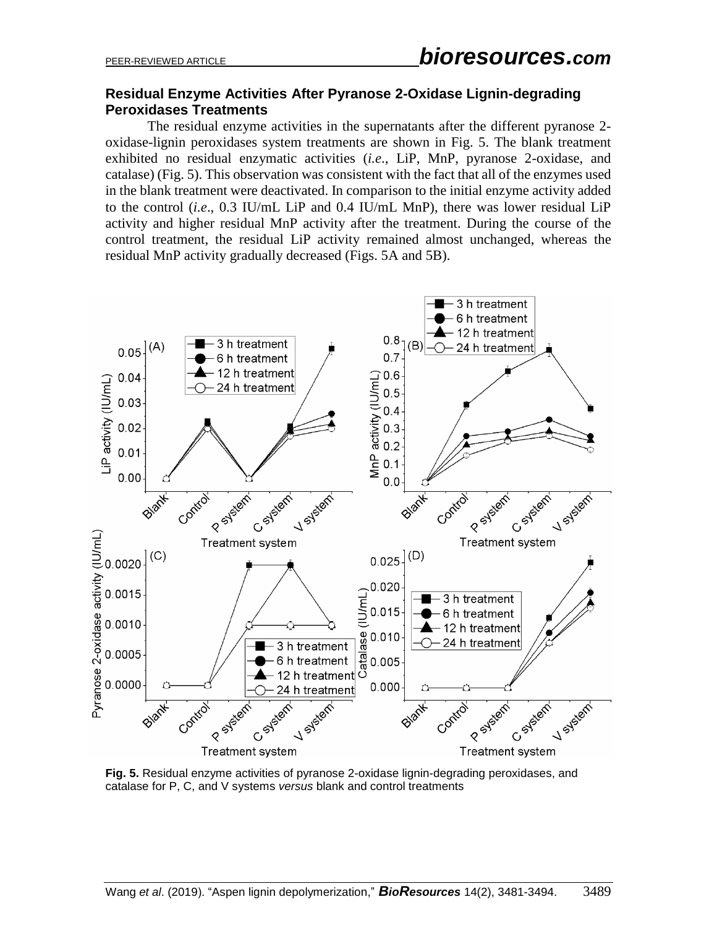# **Residual Enzyme Activities After Pyranose 2-Oxidase Lignin-degrading Peroxidases Treatments**

The residual enzyme activities in the supernatants after the different pyranose 2 oxidase-lignin peroxidases system treatments are shown in Fig. 5. The blank treatment exhibited no residual enzymatic activities (*i.e*., LiP, MnP, pyranose 2-oxidase, and catalase) (Fig. 5). This observation was consistent with the fact that all of the enzymes used in the blank treatment were deactivated. In comparison to the initial enzyme activity added to the control (*i.e*., 0.3 IU/mL LiP and 0.4 IU/mL MnP), there was lower residual LiP activity and higher residual MnP activity after the treatment. During the course of the control treatment, the residual LiP activity remained almost unchanged, whereas the residual MnP activity gradually decreased (Figs. 5A and 5B).



**Fig. 5.** Residual enzyme activities of pyranose 2-oxidase lignin-degrading peroxidases, and catalase for P, C, and V systems *versus* blank and control treatments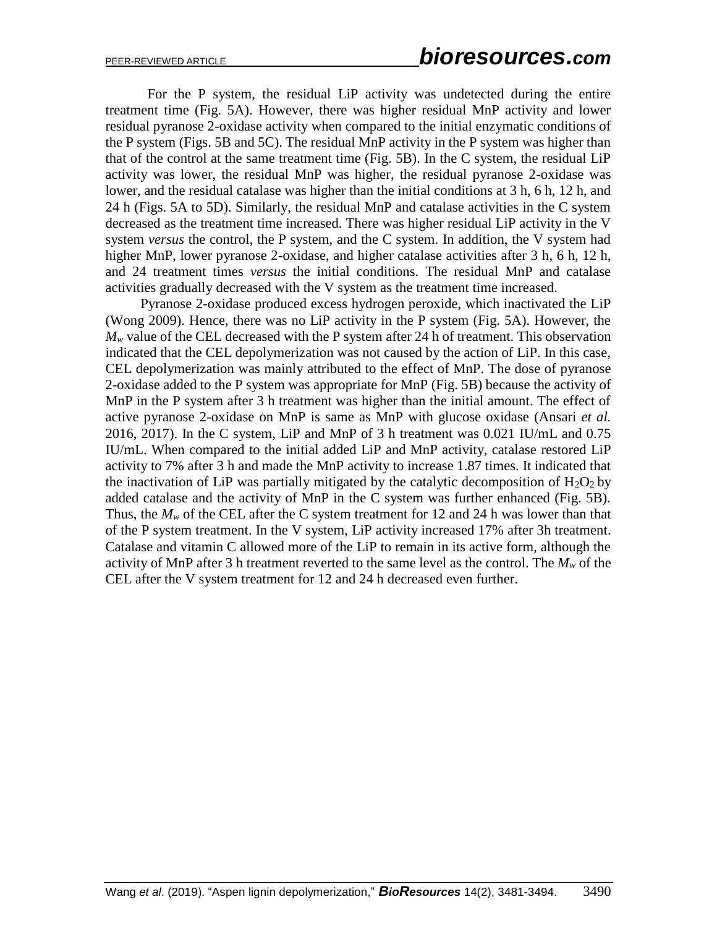For the P system, the residual LiP activity was undetected during the entire treatment time (Fig. 5A). However, there was higher residual MnP activity and lower residual pyranose 2-oxidase activity when compared to the initial enzymatic conditions of the P system (Figs. 5B and 5C). The residual MnP activity in the P system was higher than that of the control at the same treatment time (Fig. 5B). In the C system, the residual LiP activity was lower, the residual MnP was higher, the residual pyranose 2-oxidase was lower, and the residual catalase was higher than the initial conditions at 3 h, 6 h, 12 h, and 24 h (Figs. 5A to 5D). Similarly, the residual MnP and catalase activities in the C system decreased as the treatment time increased. There was higher residual LiP activity in the V system *versus* the control, the P system, and the C system. In addition, the V system had higher MnP, lower pyranose 2-oxidase, and higher catalase activities after 3 h, 6 h, 12 h, and 24 treatment times *versus* the initial conditions. The residual MnP and catalase activities gradually decreased with the V system as the treatment time increased.

Pyranose 2-oxidase produced excess hydrogen peroxide, which inactivated the LiP [\(Wong 2009\)](#page-13-5). Hence, there was no LiP activity in the P system (Fig. 5A). However, the  $M_w$  value of the CEL decreased with the P system after 24 h of treatment. This observation indicated that the CEL depolymerization was not caused by the action of LiP. In this case, CEL depolymerization was mainly attributed to the effect of MnP. The dose of pyranose 2-oxidase added to the P system was appropriate for MnP (Fig. 5B) because the activity of MnP in the P system after 3 h treatment was higher than the initial amount. The effect of active pyranose 2-oxidase on MnP is same as MnP with glucose oxidase [\(Ansari](#page-11-7) *et al.* [2016,](#page-11-7) 2017). In the C system, LiP and MnP of 3 h treatment was 0.021 IU/mL and 0.75 IU/mL. When compared to the initial added LiP and MnP activity, catalase restored LiP activity to 7% after 3 h and made the MnP activity to increase 1.87 times. It indicated that the inactivation of LiP was partially mitigated by the catalytic decomposition of  $H_2O_2$  by added catalase and the activity of MnP in the C system was further enhanced (Fig. 5B). Thus, the  $M_w$  of the CEL after the C system treatment for 12 and 24 h was lower than that of the P system treatment. In the V system, LiP activity increased 17% after 3h treatment. Catalase and vitamin C allowed more of the LiP to remain in its active form, although the activity of MnP after 3 h treatment reverted to the same level as the control. The  $M_w$  of the CEL after the V system treatment for 12 and 24 h decreased even further.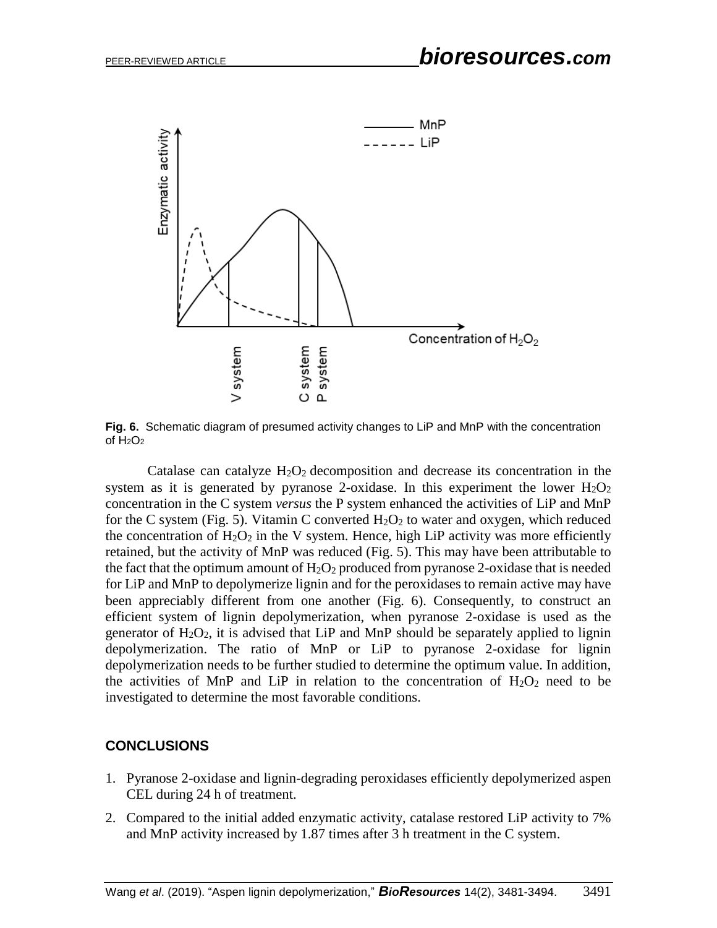

**Fig. 6.** Schematic diagram of presumed activity changes to LiP and MnP with the concentration of  $H_2O_2$ 

Catalase can catalyze  $H_2O_2$  decomposition and decrease its concentration in the system as it is generated by pyranose 2-oxidase. In this experiment the lower  $H_2O_2$ concentration in the C system *versus* the P system enhanced the activities of LiP and MnP for the C system (Fig. 5). Vitamin C converted  $H_2O_2$  to water and oxygen, which reduced the concentration of  $H_2O_2$  in the V system. Hence, high LiP activity was more efficiently retained, but the activity of MnP was reduced (Fig. 5). This may have been attributable to the fact that the optimum amount of  $H_2O_2$  produced from pyranose 2-oxidase that is needed for LiP and MnP to depolymerize lignin and for the peroxidases to remain active may have been appreciably different from one another (Fig. 6). Consequently, to construct an efficient system of lignin depolymerization, when pyranose 2-oxidase is used as the generator of  $H_2O_2$ , it is advised that LiP and MnP should be separately applied to lignin depolymerization. The ratio of MnP or LiP to pyranose 2-oxidase for lignin depolymerization needs to be further studied to determine the optimum value. In addition, the activities of MnP and LiP in relation to the concentration of  $H_2O_2$  need to be investigated to determine the most favorable conditions.

# **CONCLUSIONS**

- 1. Pyranose 2-oxidase and lignin-degrading peroxidases efficiently depolymerized aspen CEL during 24 h of treatment.
- 2. Compared to the initial added enzymatic activity, catalase restored LiP activity to 7% and MnP activity increased by 1.87 times after 3 h treatment in the C system.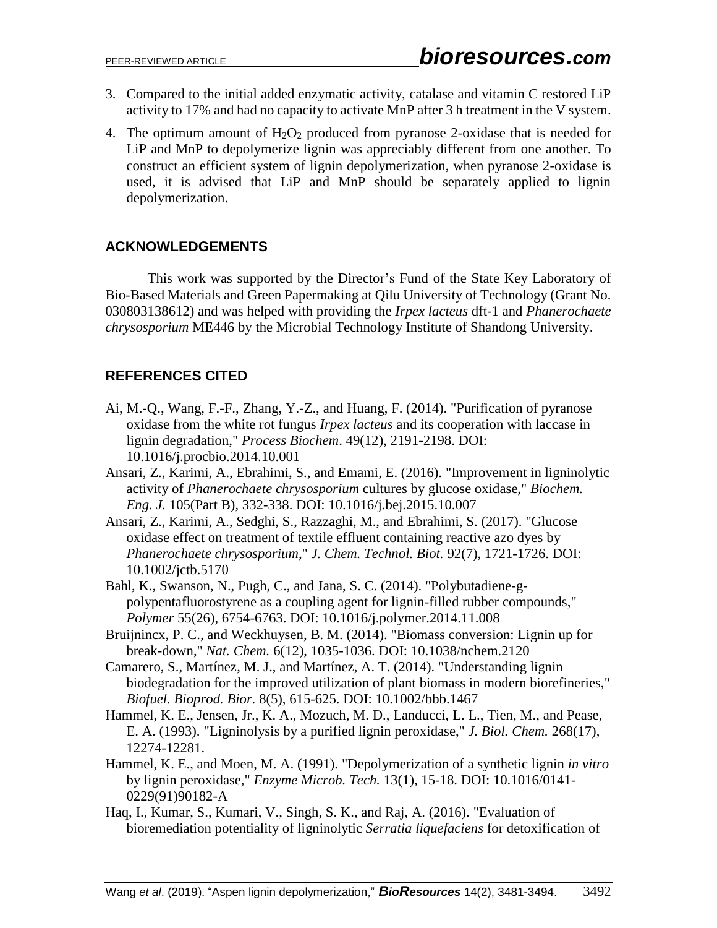- 3. Compared to the initial added enzymatic activity, catalase and vitamin C restored LiP activity to 17% and had no capacity to activate MnP after 3 h treatment in the V system.
- 4. The optimum amount of  $H_2O_2$  produced from pyranose 2-oxidase that is needed for LiP and MnP to depolymerize lignin was appreciably different from one another. To construct an efficient system of lignin depolymerization, when pyranose 2-oxidase is used, it is advised that LiP and MnP should be separately applied to lignin depolymerization.

# **ACKNOWLEDGEMENTS**

This work was supported by the Director's Fund of the State Key Laboratory of Bio-Based Materials and Green Papermaking at Qilu University of Technology (Grant No. 030803138612) and was helped with providing the *Irpex lacteus* dft-1 and *Phanerochaete chrysosporium* ME446 by the Microbial Technology Institute of Shandong University.

# **REFERENCES CITED**

- <span id="page-11-4"></span>Ai, M.-Q., Wang, F.-F., Zhang, Y.-Z., and Huang, F. (2014). "Purification of pyranose oxidase from the white rot fungus *Irpex lacteus* and its cooperation with laccase in lignin degradation," *Process Biochem*. 49(12), 2191-2198. DOI: 10.1016/j.procbio.2014.10.001
- <span id="page-11-7"></span>Ansari, Z., Karimi, A., Ebrahimi, S., and Emami, E. (2016). "Improvement in ligninolytic activity of *Phanerochaete chrysosporium* cultures by glucose oxidase," *Biochem. Eng. J.* 105(Part B), 332-338. DOI: 10.1016/j.bej.2015.10.007
- Ansari, Z., Karimi, A., Sedghi, S., Razzaghi, M., and Ebrahimi, S. (2017). "Glucose oxidase effect on treatment of textile effluent containing reactive azo dyes by *Phanerochaete chrysosporium*," *J. Chem. Technol. Biot.* 92(7), 1721-1726. DOI: 10.1002/jctb.5170
- <span id="page-11-6"></span>Bahl, K., Swanson, N., Pugh, C., and Jana, S. C. (2014). "Polybutadiene-gpolypentafluorostyrene as a coupling agent for lignin-filled rubber compounds," *Polymer* 55(26), 6754-6763. DOI: 10.1016/j.polymer.2014.11.008
- <span id="page-11-0"></span>Bruijnincx, P. C., and Weckhuysen, B. M. (2014). "Biomass conversion: Lignin up for break-down," *Nat. Chem.* 6(12), 1035-1036. DOI: 10.1038/nchem.2120
- <span id="page-11-1"></span>Camarero, S., Martínez, M. J., and Martínez, A. T. (2014). "Understanding lignin biodegradation for the improved utilization of plant biomass in modern biorefineries," *Biofuel. Bioprod. Bior.* 8(5), 615-625. DOI: 10.1002/bbb.1467
- <span id="page-11-3"></span>Hammel, K. E., Jensen, Jr., K. A., Mozuch, M. D., Landucci, L. L., Tien, M., and Pease, E. A. (1993). "Ligninolysis by a purified lignin peroxidase," *J. Biol. Chem.* 268(17), 12274-12281.
- <span id="page-11-2"></span>Hammel, K. E., and Moen, M. A. (1991). "Depolymerization of a synthetic lignin *in vitro* by lignin peroxidase," *Enzyme Microb. Tech.* 13(1), 15-18. DOI: 10.1016/0141- 0229(91)90182-A
- <span id="page-11-5"></span>Haq, I., Kumar, S., Kumari, V., Singh, S. K., and Raj, A. (2016). "Evaluation of bioremediation potentiality of ligninolytic *Serratia liquefaciens* for detoxification of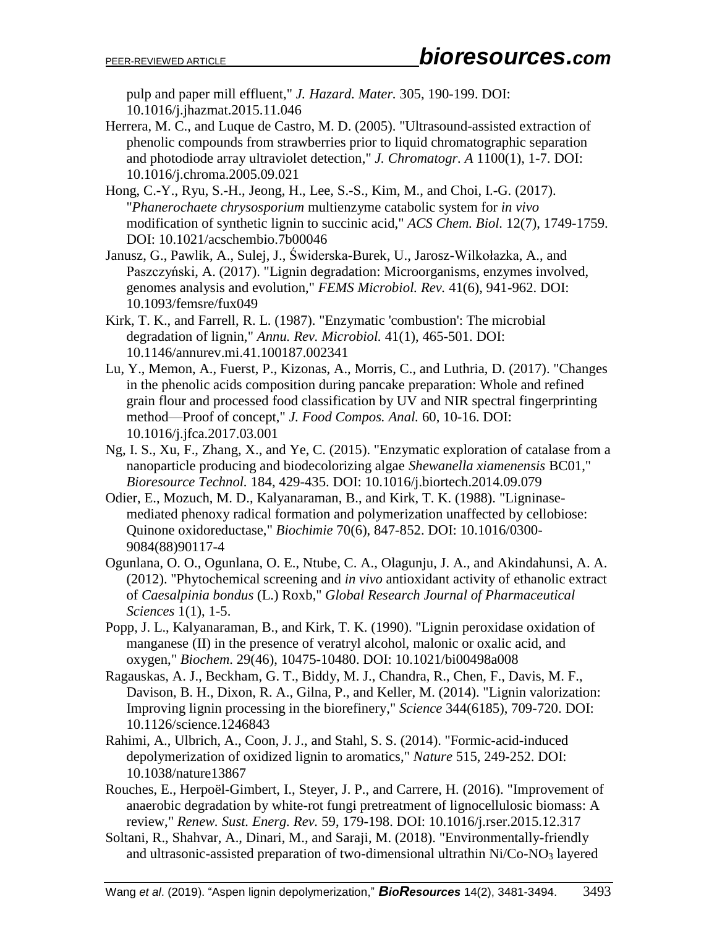pulp and paper mill effluent," *J. Hazard. Mater.* 305, 190-199. DOI: 10.1016/j.jhazmat.2015.11.046

- <span id="page-12-6"></span>Herrera, M. C., and Luque de Castro, M. D. (2005). "Ultrasound-assisted extraction of phenolic compounds from strawberries prior to liquid chromatographic separation and photodiode array ultraviolet detection," *J. Chromatogr. A* 1100(1), 1-7. DOI: 10.1016/j.chroma.2005.09.021
- <span id="page-12-10"></span>Hong, C.-Y., Ryu, S.-H., Jeong, H., Lee, S.-S., Kim, M., and Choi, I.-G. (2017). "*Phanerochaete chrysosporium* multienzyme catabolic system for *in vivo* modification of synthetic lignin to succinic acid," *ACS Chem. Biol.* 12(7), 1749-1759. DOI: 10.1021/acschembio.7b00046
- Janusz, G., Pawlik, A., Sulej, J., Świderska-Burek, U., Jarosz-Wilkołazka, A., and Paszczyński, A. (2017). "Lignin degradation: Microorganisms, enzymes involved, genomes analysis and evolution," *FEMS Microbiol. Rev.* 41(6), 941-962. DOI: 10.1093/femsre/fux049
- Kirk, T. K., and Farrell, R. L. (1987). "Enzymatic 'combustion': The microbial degradation of lignin," *Annu. Rev. Microbiol.* 41(1), 465-501. DOI: 10.1146/annurev.mi.41.100187.002341
- <span id="page-12-7"></span>Lu, Y., Memon, A., Fuerst, P., Kizonas, A., Morris, C., and Luthria, D. (2017). "Changes in the phenolic acids composition during pancake preparation: Whole and refined grain flour and processed food classification by UV and NIR spectral fingerprinting method—Proof of concept," *J. Food Compos. Anal.* 60, 10-16. DOI: 10.1016/j.jfca.2017.03.001
- <span id="page-12-4"></span>Ng, I. S., Xu, F., Zhang, X., and Ye, C. (2015). "Enzymatic exploration of catalase from a nanoparticle producing and biodecolorizing algae *Shewanella xiamenensis* BC01," *Bioresource Technol.* 184, 429-435. DOI: 10.1016/j.biortech.2014.09.079
- <span id="page-12-3"></span>Odier, E., Mozuch, M. D., Kalyanaraman, B., and Kirk, T. K. (1988). "Ligninasemediated phenoxy radical formation and polymerization unaffected by cellobiose: Quinone oxidoreductase," *Biochimie* 70(6), 847-852. DOI: 10.1016/0300- 9084(88)90117-4
- <span id="page-12-5"></span>Ogunlana, O. O., Ogunlana, O. E., Ntube, C. A., Olagunju, J. A., and Akindahunsi, A. A. (2012). "Phytochemical screening and *in vivo* antioxidant activity of ethanolic extract of *Caesalpinia bondus* (L.) Roxb," *Global Research Journal of Pharmaceutical Sciences* 1(1), 1-5.
- <span id="page-12-9"></span>Popp, J. L., Kalyanaraman, B., and Kirk, T. K. (1990). "Lignin peroxidase oxidation of manganese (II) in the presence of veratryl alcohol, malonic or oxalic acid, and oxygen," *Biochem*. 29(46), 10475-10480. DOI: 10.1021/bi00498a008
- <span id="page-12-1"></span>Ragauskas, A. J., Beckham, G. T., Biddy, M. J., Chandra, R., Chen, F., Davis, M. F., Davison, B. H., Dixon, R. A., Gilna, P., and Keller, M. (2014). "Lignin valorization: Improving lignin processing in the biorefinery," *Science* 344(6185), 709-720. DOI: 10.1126/science.1246843
- <span id="page-12-0"></span>Rahimi, A., Ulbrich, A., Coon, J. J., and Stahl, S. S. (2014). "Formic-acid-induced depolymerization of oxidized lignin to aromatics," *Nature* 515, 249-252. DOI: 10.1038/nature13867
- <span id="page-12-2"></span>Rouches, E., Herpoël-Gimbert, I., Steyer, J. P., and Carrere, H. (2016). "Improvement of anaerobic degradation by white-rot fungi pretreatment of lignocellulosic biomass: A review," *Renew. Sust. Energ. Rev.* 59, 179-198. DOI: 10.1016/j.rser.2015.12.317
- <span id="page-12-8"></span>Soltani, R., Shahvar, A., Dinari, M., and Saraji, M. (2018). "Environmentally-friendly and ultrasonic-assisted preparation of two-dimensional ultrathin Ni/Co-NO<sub>3</sub> layered